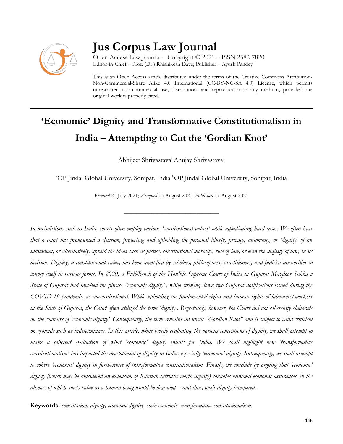

## **Jus Corpus Law Journal**

Open Access Law Journal – Copyright © 2021 – ISSN 2582-7820 Editor-in-Chief – Prof. (Dr.) Rhishikesh Dave; Publisher – Ayush Pandey

This is an Open Access article distributed under the terms of the Creative Commons Attribution-Non-Commercial-Share Alike 4.0 International (CC-BY-NC-SA 4.0) License, which permits unrestricted non-commercial use, distribution, and reproduction in any medium, provided the original work is properly cited.

# **'Economic' Dignity and Transformative Constitutionalism in India – Attempting to Cut the 'Gordian Knot'**

Abhijeet Shrivastava<sup>a</sup> Anujay Shrivastava<sup>a</sup>

<sup>a</sup>OP Jindal Global University, Sonipat, India <sup>b</sup>OP Jindal Global University, Sonipat, India

*Received* 21 July 2021; *Accepted* 13 August 2021; *Published* 17 August 2021

\_\_\_\_\_\_\_\_\_\_\_\_\_\_\_\_\_\_\_\_\_\_\_\_\_\_\_\_\_\_\_\_\_\_

*In jurisdictions such as India, courts often employ various 'constitutional values' while adjudicating hard cases. We often hear that a court has pronounced a decision, protecting and upholding the personal liberty, privacy, autonomy, or 'dignity' of an individual, or alternatively, upheld the ideas such as justice, constitutional morality, rule of law, or even the majesty of law, in its decision. Dignity, a constitutional value, has been identified by scholars, philosophers, practitioners, and judicial authorities to convey itself in various forms. In 2020, a Full-Bench of the Hon'ble Supreme Court of India in Gujarat Mazdoor Sabha v State of Gujarat had invoked the phrase "economic dignity", while striking down two Gujarat notifications issued during the COVID-19 pandemic, as unconstitutional. While upholding the fundamental rights and human rights of labourers/workers in the State of Gujarat, the Court often utilized the term 'dignity'. Regrettably, however, the Court did not coherently elaborate on the contours of 'economic dignity'. Consequently, the term remains an uncut "Gordian Knot" and is subject to valid criticism on grounds such as indeterminacy. In this article, while briefly evaluating the various conceptions of dignity, we shall attempt to make a coherent evaluation of what 'economic' dignity entails for India. We shall highlight how 'transformative constitutionalism' has impacted the development of dignity in India, especially 'economic' dignity. Subsequently, we shall attempt to cohere 'economic' dignity in furtherance of transformative constitutionalism. Finally, we conclude by arguing that 'economic' dignity (which may be considered an extension of Kantian intrinsic-worth dignity) connotes minimal economic assurances, in the absence of which, one's value as a human being would be degraded – and thus, one's dignity hampered.*

**Keywords:** *constitution, dignity, economic dignity, socio-economic, transformative constitutionalism.*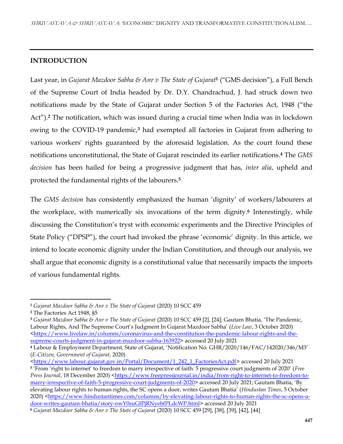### **INTRODUCTION**

Last year, in *Gujarat Mazdoor Sabha & Anr v The State of Gujarat***<sup>1</sup>** ("GMS decision"), a Full Bench of the Supreme Court of India headed by Dr. D.Y. Chandrachud, J. had struck down two notifications made by the State of Gujarat under Section 5 of the Factories Act, 1948 ("the Act").**<sup>2</sup>** The notification, which was issued during a crucial time when India was in lockdown owing to the COVID-19 pandemic,**<sup>3</sup>** had exempted all factories in Gujarat from adhering to various workers' rights guaranteed by the aforesaid legislation. As the court found these notifications unconstitutional, the State of Gujarat rescinded its earlier notifications.**<sup>4</sup>** The *GMS decision* has been hailed for being a progressive judgment that has, *inter alia*, upheld and protected the fundamental rights of the labourers.**<sup>5</sup>**

The *GMS decision* has consistently emphasized the human 'dignity' of workers/labourers at the workplace, with numerically six invocations of the term dignity.**<sup>6</sup>** Interestingly, while discussing the Constitution's tryst with economic experiments and the Directive Principles of State Policy ("DPSP"), the court had invoked the phrase 'economic' dignity. In this article, we intend to locate economic dignity under the Indian Constitution, and through our analysis, we shall argue that economic dignity is a constitutional value that necessarily impacts the imports of various fundamental rights.

l

**<sup>3</sup>** *Gujarat Mazdoor Sabha & Anr v The State of Gujarat* (2020) 10 SCC 459 [2], [24]; Gautam Bhatia, 'The Pandemic, Labour Rights, And The Supreme Court's Judgment In Gujarat Mazdoor Sabha' (*Live Law*, 3 October 2020) [<https://www.livelaw.in/columns/coronavirus-and-the-constitution-the-pandemic-labour-rights-and-the](https://www.livelaw.in/columns/coronavirus-and-the-constitution-the-pandemic-labour-rights-and-the-supreme-courts-judgment-in-gujarat-mazdoor-sabha-163922)[supreme-courts-judgment-in-gujarat-mazdoor-sabha-163922>](https://www.livelaw.in/columns/coronavirus-and-the-constitution-the-pandemic-labour-rights-and-the-supreme-courts-judgment-in-gujarat-mazdoor-sabha-163922) accessed 20 July 2021

**<sup>4</sup>** Labour & Employment Department, State of Gujarat, 'Notification No. GHR/2020/146/FAC/142020/346/M3' (*E-Citizen, Government of Gujarat*, 2020)

[<https://www.labour.gujarat.gov.in/Portal/Document/1\\_242\\_1\\_FactoriesAct.pdf>](https://www.labour.gujarat.gov.in/Portal/Document/1_242_1_FactoriesAct.pdf) accessed 20 July 2021 **5** 'From 'right to internet' to freedom to marry irrespective of faith: 5 progressive court judgments of 2020' (*Free Press Journal*, 18 December 2020) [<https://www.freepressjournal.in/india/from-right-to-internet-to-freedom-to](https://www.freepressjournal.in/india/from-right-to-internet-to-freedom-to-marry-irrespective-of-faith-5-progressive-court-judgments-of-2020)[marry-irrespective-of-faith-5-progressive-court-judgments-of-2020>](https://www.freepressjournal.in/india/from-right-to-internet-to-freedom-to-marry-irrespective-of-faith-5-progressive-court-judgments-of-2020) accessed 20 July 2021; Gautam Bhatia, 'By elevating labour rights to human rights, the SC opens a door, writes Gautam Bhatia' (*Hindustan Times*, 5 October 2020) [<https://www.hindustantimes.com/columns/by-elevating-labour-rights-to-human-rights-the-sc-opens-a](https://www.hindustantimes.com/columns/by-elevating-labour-rights-to-human-rights-the-sc-opens-a-door-writes-gautam-bhatia/story-owY0suGfPjRNyebfPLdcWP.html)[door-writes-gautam-bhatia/story-owY0suGfPjRNyebfPLdcWP.html>](https://www.hindustantimes.com/columns/by-elevating-labour-rights-to-human-rights-the-sc-opens-a-door-writes-gautam-bhatia/story-owY0suGfPjRNyebfPLdcWP.html) accessed 20 July 2021

**<sup>1</sup>** *Gujarat Mazdoor Sabha & Anr v The State of Gujarat* (2020) 10 SCC 459

**<sup>2</sup>** The Factories Act 1948, §5

**<sup>6</sup>** *Gujarat Mazdoor Sabha & Anr v The State of Gujarat* (2020) 10 SCC 459 [29], [38], [39], [42], [44]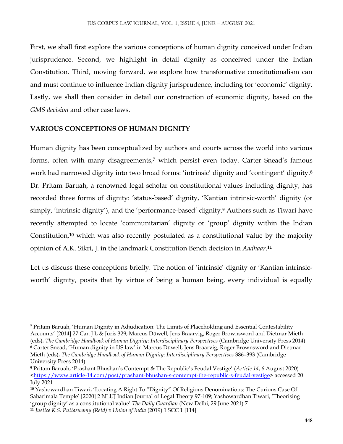First, we shall first explore the various conceptions of human dignity conceived under Indian jurisprudence. Second, we highlight in detail dignity as conceived under the Indian Constitution. Third, moving forward, we explore how transformative constitutionalism can and must continue to influence Indian dignity jurisprudence, including for 'economic' dignity. Lastly, we shall then consider in detail our construction of economic dignity, based on the *GMS decision* and other case laws.

#### **VARIOUS CONCEPTIONS OF HUMAN DIGNITY**

Human dignity has been conceptualized by authors and courts across the world into various forms, often with many disagreements,**<sup>7</sup>** which persist even today. Carter Snead's famous work had narrowed dignity into two broad forms: 'intrinsic' dignity and 'contingent' dignity.**<sup>8</sup>** Dr. Pritam Baruah, a renowned legal scholar on constitutional values including dignity, has recorded three forms of dignity: 'status-based' dignity, 'Kantian intrinsic-worth' dignity (or simply, 'intrinsic dignity'), and the 'performance-based' dignity.**<sup>9</sup>** Authors such as Tiwari have recently attempted to locate 'communitarian' dignity or 'group' dignity within the Indian Constitution,**<sup>10</sup>** which was also recently postulated as a constitutional value by the majority opinion of A.K. Sikri, J. in the landmark Constitution Bench decision in *Aadhaar*. **11**

Let us discuss these conceptions briefly. The notion of 'intrinsic' dignity or 'Kantian intrinsicworth' dignity, posits that by virtue of being a human being, every individual is equally

 $\overline{\phantom{a}}$ **<sup>7</sup>** Pritam Baruah, 'Human Dignity in Adjudication: The Limits of Placeholding and Essential Contestability Accounts' [2014] 27 Can J L & Juris 329; Marcus Düwell, Jens Braarvig, Roger Brownsword and Dietmar Mieth (eds), *The Cambridge Handbook of Human Dignity: Interdisciplinary Perspectives* (Cambridge University Press 2014) **<sup>8</sup>** Carter Snead, 'Human dignity in US law' in Marcus Düwell, Jens Braarvig, Roger Brownsword and Dietmar Mieth (eds), *The Cambridge Handbook of Human Dignity: Interdisciplinary Perspectives* 386–393 (Cambridge University Press 2014)

**<sup>9</sup>** Pritam Baruah, 'Prashant Bhushan's Contempt & The Republic's Feudal Vestige' (*Article 14*, 6 August 2020) [<https://www.article-14.com/post/prashant-bhushan-s-contempt-the-republic-s-feudal-vestige>](https://www.article-14.com/post/prashant-bhushan-s-contempt-the-republic-s-feudal-vestige) accessed 20 July 2021

**<sup>10</sup>** Yashowardhan Tiwari, 'Locating A Right To "Dignity" Of Religious Denominations: The Curious Case Of Sabarimala Temple' [2020] 2 NLUJ Indian Journal of Legal Theory 97-109; Yashowardhan Tiwari, 'Theorising 'group dignity' as a constitutional value' *The Daily Guardian* (New Delhi, 29 June 2021) 7

**<sup>11</sup>** *Justice K.S. Puttaswamy (Retd) v Union of India* (2019) 1 SCC 1 [114]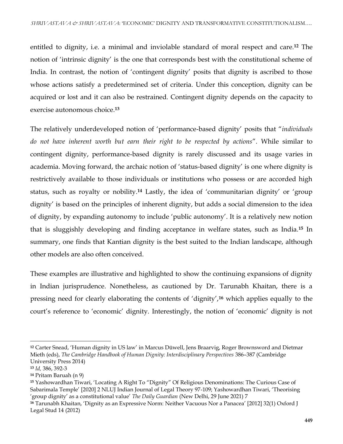entitled to dignity, i.e. a minimal and inviolable standard of moral respect and care.**<sup>12</sup>** The notion of 'intrinsic dignity' is the one that corresponds best with the constitutional scheme of India. In contrast, the notion of 'contingent dignity' posits that dignity is ascribed to those whose actions satisfy a predetermined set of criteria. Under this conception, dignity can be acquired or lost and it can also be restrained. Contingent dignity depends on the capacity to exercise autonomous choice.**<sup>13</sup>**

The relatively underdeveloped notion of 'performance-based dignity' posits that "*individuals do not have inherent worth but earn their right to be respected by actions*". While similar to contingent dignity, performance-based dignity is rarely discussed and its usage varies in academia. Moving forward, the archaic notion of 'status-based dignity' is one where dignity is restrictively available to those individuals or institutions who possess or are accorded high status, such as royalty or nobility.**<sup>14</sup>** Lastly, the idea of 'communitarian dignity' or 'group dignity' is based on the principles of inherent dignity, but adds a social dimension to the idea of dignity, by expanding autonomy to include 'public autonomy'. It is a relatively new notion that is sluggishly developing and finding acceptance in welfare states, such as India.**<sup>15</sup>** In summary, one finds that Kantian dignity is the best suited to the Indian landscape, although other models are also often conceived.

These examples are illustrative and highlighted to show the continuing expansions of dignity in Indian jurisprudence. Nonetheless, as cautioned by Dr. Tarunabh Khaitan, there is a pressing need for clearly elaborating the contents of 'dignity',**<sup>16</sup>** which applies equally to the court's reference to 'economic' dignity. Interestingly, the notion of 'economic' dignity is not

 $\overline{a}$ 

**<sup>12</sup>** Carter Snead, 'Human dignity in US law' in Marcus Düwell, Jens Braarvig, Roger Brownsword and Dietmar Mieth (eds), *The Cambridge Handbook of Human Dignity: Interdisciplinary Perspectives* 386–387 (Cambridge University Press 2014)

**<sup>13</sup>** *Id,* 386, 392-3

**<sup>14</sup>** Pritam Baruah (n 9)

**<sup>15</sup>** Yashowardhan Tiwari, 'Locating A Right To "Dignity" Of Religious Denominations: The Curious Case of Sabarimala Temple' [2020] 2 NLUJ Indian Journal of Legal Theory 97-109; Yashowardhan Tiwari, 'Theorising 'group dignity' as a constitutional value' *The Daily Guardian* (New Delhi, 29 June 2021) 7

**<sup>16</sup>** Tarunabh Khaitan, 'Dignity as an Expressive Norm: Neither Vacuous Nor a Panacea' [2012] 32(1) Oxford J Legal Stud 14 (2012)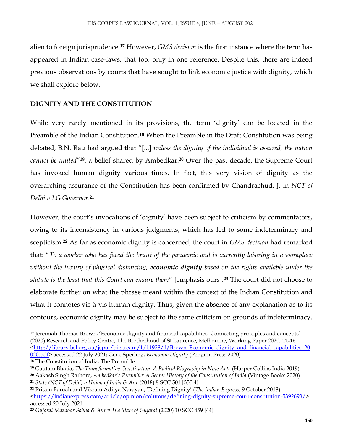alien to foreign jurisprudence.**<sup>17</sup>** However, *GMS decision* is the first instance where the term has appeared in Indian case-laws, that too, only in one reference. Despite this, there are indeed previous observations by courts that have sought to link economic justice with dignity, which we shall explore below.

#### **DIGNITY AND THE CONSTITUTION**

While very rarely mentioned in its provisions, the term 'dignity' can be located in the Preamble of the Indian Constitution.**<sup>18</sup>** When the Preamble in the Draft Constitution was being debated, B.N. Rau had argued that "[...] *unless the dignity of the individual is assured, the nation cannot be united*"**<sup>19</sup>**, a belief shared by Ambedkar.**<sup>20</sup>** Over the past decade, the Supreme Court has invoked human dignity various times. In fact, this very vision of dignity as the overarching assurance of the Constitution has been confirmed by Chandrachud, J. in *NCT of Delhi v LG Governor*. **21**

However, the court's invocations of 'dignity' have been subject to criticism by commentators, owing to its inconsistency in various judgments, which has led to some indeterminacy and scepticism.**<sup>22</sup>** As far as economic dignity is concerned, the court in *GMS decision* had remarked that: "*To a worker who has faced the brunt of the pandemic and is currently laboring in a workplace without the luxury of physical distancing, economic dignity based on the rights available under the statute is the least that this Court can ensure them*" [emphasis ours].**<sup>23</sup>** The court did not choose to elaborate further on what the phrase meant within the context of the Indian Constitution and what it connotes vis-à-vis human dignity. Thus, given the absence of any explanation as to its contours, economic dignity may be subject to the same criticism on grounds of indeterminacy.

**<sup>17</sup>** Jeremiah Thomas Brown, 'Economic dignity and financial capabilities: Connecting principles and concepts' (2020) Research and Policy Centre, The Brotherhood of St Laurence, Melbourne, Working Paper 2020, 11-16 [<http://library.bsl.org.au/jspui/bitstream/1/11928/1/Brown\\_Economic\\_dignity\\_and\\_financial\\_capabilities\\_20](http://library.bsl.org.au/jspui/bitstream/1/11928/1/Brown_Economic_dignity_and_financial_capabilities_20020.pdf) [020.pdf>](http://library.bsl.org.au/jspui/bitstream/1/11928/1/Brown_Economic_dignity_and_financial_capabilities_20020.pdf) accessed 22 July 2021; Gene Sperling, *Economic Dignity* (Penguin Press 2020)

**<sup>18</sup>** The Constitution of India, The Preamble

**<sup>19</sup>** Gautam Bhatia, *The Transformative Constitution: A Radical Biography in Nine Acts* (Harper Collins India 2019)

**<sup>20</sup>** Aakash Singh Rathore, *Ambedkar's Preamble: A Secret History of the Constitution of India* (Vintage Books 2020) **<sup>21</sup>** *State (NCT of Delhi) v Union of India & Anr* (2018) 8 SCC 501 [350.4]

**<sup>22</sup>** Pritam Baruah and Vikram Aditya Narayan, 'Defining Dignity' (*The Indian Express*, 9 October 2018) [<https://indianexpress.com/article/opinion/columns/defining-dignity-supreme-court-constitution-5392693/>](https://indianexpress.com/article/opinion/columns/defining-dignity-supreme-court-constitution-5392693/) accessed 20 July 2021

**<sup>23</sup>** *Gujarat Mazdoor Sabha & Anr v The State of Gujarat* (2020) 10 SCC 459 [44]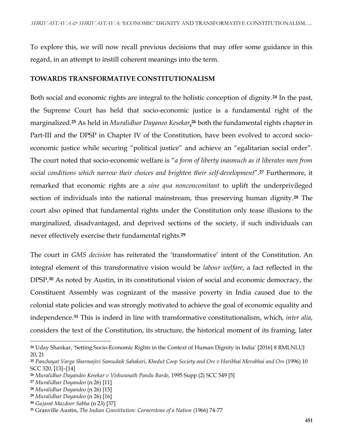To explore this, we will now recall previous decisions that may offer some guidance in this regard, in an attempt to instill coherent meanings into the term.

#### **TOWARDS TRANSFORMATIVE CONSTITUTIONALISM**

Both social and economic rights are integral to the holistic conception of dignity.**<sup>24</sup>** In the past, the Supreme Court has held that socio-economic justice is a fundamental right of the marginalized.**<sup>25</sup>** As held in *Muralidhar Dayaneo Kesekar*, **<sup>26</sup>** both the fundamental rights chapter in Part-III and the DPSP in Chapter IV of the Constitution, have been evolved to accord socioeconomic justice while securing "political justice" and achieve an "egalitarian social order". The court noted that socio-economic welfare is "*a form of liberty inasmuch as it liberates men from social conditions which narrow their choices and brighten their self-development*".**<sup>27</sup>** Furthermore, it remarked that economic rights are a *sine qua nonconcomitant* to uplift the underprivileged section of individuals into the national mainstream, thus preserving human dignity.**<sup>28</sup>** The court also opined that fundamental rights under the Constitution only tease illusions to the marginalized, disadvantaged, and deprived sections of the society, if such individuals can never effectively exercise their fundamental rights.**<sup>29</sup>**

The court in *GMS decision* has reiterated the 'transformative' intent of the Constitution. An integral element of this transformative vision would be *labour welfare*, a fact reflected in the DPSP.**<sup>30</sup>** As noted by Austin, in its constitutional vision of social and economic democracy, the Constituent Assembly was cognizant of the massive poverty in India caused due to the colonial state policies and was strongly motivated to achieve the goal of economic equality and independence.**<sup>31</sup>** This is indeed in line with transformative constitutionalism, which, *inter alia*, considers the text of the Constitution, its structure, the historical moment of its framing, later

 $\overline{a}$ 

**<sup>24</sup>** Uday Shankar, 'Setting Socio-Economic Rights in the Context of Human Dignity in India' [2016] 8 RMLNLUJ 20, 21

**<sup>25</sup>** *Panchayat Varga Sharmajivi Samudaik Sahakari, Khedut Coop Society and Ors v Haribhai Mevabhai and Ors* (1996) 10 SCC 320, [13]–[14]

**<sup>26</sup>** *Muralidhar Dayandeo Kesekar v Vishwanath Pandu Barde*, 1995 Supp (2) SCC 549 [5]

**<sup>27</sup>** *Muralidhar Dayandeo* (n 26) [11]

**<sup>28</sup>** *Muralidhar Dayandeo* (n 26) [15]

**<sup>29</sup>** *Muralidhar Dayandeo* (n 26) [16]

**<sup>30</sup>** *Gujarat Mazdoor Sabha* (n 23) [37]

**<sup>31</sup>** Granville Austin, *The Indian Constitution: Cornerstone of a Nation* (1966) 74-77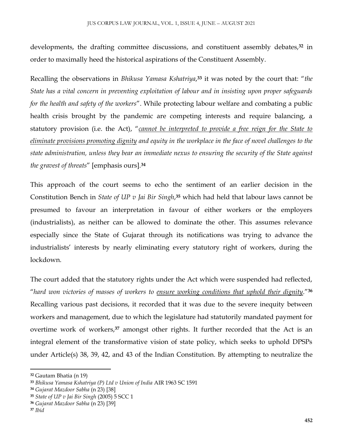developments, the drafting committee discussions, and constituent assembly debates,**<sup>32</sup>** in order to maximally heed the historical aspirations of the Constituent Assembly.

Recalling the observations in *Bhikusa Yamasa Kshatriya*, **<sup>33</sup>** it was noted by the court that: "*the State has a vital concern in preventing exploitation of labour and in insisting upon proper safeguards for the health and safety of the workers*". While protecting labour welfare and combating a public health crisis brought by the pandemic are competing interests and require balancing, a statutory provision (i.e. the Act), "*cannot be interpreted to provide a free reign for the State to eliminate provisions promoting dignity and equity in the workplace in the face of novel challenges to the state administration, unless they bear an immediate nexus to ensuring the security of the State against the gravest of threats*" [emphasis ours].**<sup>34</sup>**

This approach of the court seems to echo the sentiment of an earlier decision in the Constitution Bench in *State of UP v Jai Bir Singh*, **<sup>35</sup>** which had held that labour laws cannot be presumed to favour an interpretation in favour of either workers or the employers (industrialists), as neither can be allowed to dominate the other. This assumes relevance especially since the State of Gujarat through its notifications was trying to advance the industrialists' interests by nearly eliminating every statutory right of workers, during the lockdown.

The court added that the statutory rights under the Act which were suspended had reflected, "*hard won victories of masses of workers to ensure working conditions that uphold their dignity*."**<sup>36</sup>** Recalling various past decisions, it recorded that it was due to the severe inequity between workers and management, due to which the legislature had statutorily mandated payment for overtime work of workers,**<sup>37</sup>** amongst other rights. It further recorded that the Act is an integral element of the transformative vision of state policy, which seeks to uphold DPSPs under Article(s) 38, 39, 42, and 43 of the Indian Constitution. By attempting to neutralize the

**<sup>32</sup>** Gautam Bhatia (n 19)

**<sup>33</sup>** *Bhikusa Yamasa Kshatriya (P) Ltd v Union of India* AIR 1963 SC 1591

**<sup>34</sup>** *Gujarat Mazdoor Sabha* (n 23) [38]

**<sup>35</sup>** *State of UP v Jai Bir Singh* (2005) 5 SCC 1

**<sup>36</sup>** *Gujarat Mazdoor Sabha* (n 23) [39]

**<sup>37</sup>** *Ibid*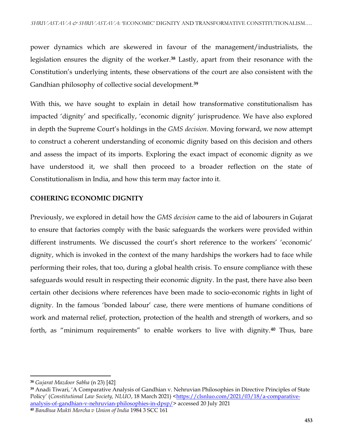power dynamics which are skewered in favour of the management/industrialists, the legislation ensures the dignity of the worker.**<sup>38</sup>** Lastly, apart from their resonance with the Constitution's underlying intents, these observations of the court are also consistent with the Gandhian philosophy of collective social development.**<sup>39</sup>**

With this, we have sought to explain in detail how transformative constitutionalism has impacted 'dignity' and specifically, 'economic dignity' jurisprudence. We have also explored in depth the Supreme Court's holdings in the *GMS decision*. Moving forward, we now attempt to construct a coherent understanding of economic dignity based on this decision and others and assess the impact of its imports. Exploring the exact impact of economic dignity as we have understood it, we shall then proceed to a broader reflection on the state of Constitutionalism in India, and how this term may factor into it.

## **COHERING ECONOMIC DIGNITY**

Previously, we explored in detail how the *GMS decision* came to the aid of labourers in Gujarat to ensure that factories comply with the basic safeguards the workers were provided within different instruments. We discussed the court's short reference to the workers' 'economic' dignity, which is invoked in the context of the many hardships the workers had to face while performing their roles, that too, during a global health crisis. To ensure compliance with these safeguards would result in respecting their economic dignity. In the past, there have also been certain other decisions where references have been made to socio-economic rights in light of dignity. In the famous 'bonded labour' case, there were mentions of humane conditions of work and maternal relief, protection, protection of the health and strength of workers, and so forth, as "minimum requirements" to enable workers to live with dignity.**<sup>40</sup>** Thus, bare

**<sup>38</sup>** *Gujarat Mazdoor Sabha* (n 23) [42]

**<sup>39</sup>** Anadi Tiwari, 'A Comparative Analysis of Gandhian v. Nehruvian Philosophies in Directive Principles of State Policy' (*Constitutional Law Society, NLUO*, 18 March 2021) [<https://clsnluo.com/2021/03/18/a-comparative](https://clsnluo.com/2021/03/18/a-comparative-analysis-of-gandhian-v-nehruvian-philosophies-in-dpsp/)[analysis-of-gandhian-v-nehruvian-philosophies-in-dpsp/>](https://clsnluo.com/2021/03/18/a-comparative-analysis-of-gandhian-v-nehruvian-philosophies-in-dpsp/) accessed 20 July 2021

**<sup>40</sup>** *Bandhua Mukti Morcha v Union of India* 1984 3 SCC 161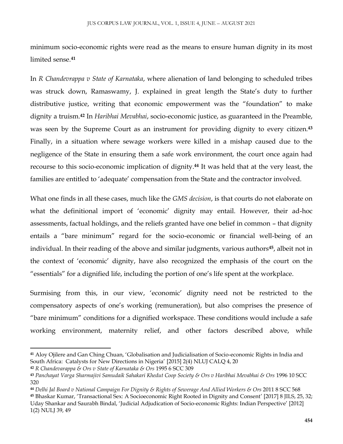minimum socio-economic rights were read as the means to ensure human dignity in its most limited sense.**<sup>41</sup>**

In *R Chandevrappa v State of Karnataka*, where alienation of land belonging to scheduled tribes was struck down, Ramaswamy, J. explained in great length the State's duty to further distributive justice, writing that economic empowerment was the "foundation" to make dignity a truism.**<sup>42</sup>** In *Haribhai Mevabhai*, socio-economic justice, as guaranteed in the Preamble, was seen by the Supreme Court as an instrument for providing dignity to every citizen.**<sup>43</sup>** Finally, in a situation where sewage workers were killed in a mishap caused due to the negligence of the State in ensuring them a safe work environment, the court once again had recourse to this socio-economic implication of dignity.**<sup>44</sup>** It was held that at the very least, the families are entitled to 'adequate' compensation from the State and the contractor involved.

What one finds in all these cases, much like the *GMS decision*, is that courts do not elaborate on what the definitional import of 'economic' dignity may entail. However, their ad-hoc assessments, factual holdings, and the reliefs granted have one belief in common – that dignity entails a "bare minimum" regard for the socio-economic or financial well-being of an individual. In their reading of the above and similar judgments, various authors**<sup>45</sup>**, albeit not in the context of 'economic' dignity, have also recognized the emphasis of the court on the "essentials" for a dignified life, including the portion of one's life spent at the workplace.

Surmising from this, in our view, 'economic' dignity need not be restricted to the compensatory aspects of one's working (remuneration), but also comprises the presence of "bare minimum" conditions for a dignified workspace. These conditions would include a safe working environment, maternity relief, and other factors described above, while

l

**<sup>41</sup>** Aloy Ojilere and Gan Ching Chuan, 'Globalisation and Judicialisation of Socio-economic Rights in India and South Africa: Catalysts for New Directions in Nigeria' [2015] 2(4) NLUJ CALQ 4, 20

**<sup>42</sup>** *R Chandevarappa & Ors v State of Karnataka & Ors* 1995 6 SCC 309

**<sup>43</sup>** *Panchayat Varga Sharmajivi Samudaik Sahakari Khedut Coop Society & Ors v Haribhai Mevabhai & Ors* 1996 10 SCC 320

**<sup>44</sup>** *Delhi Jal Board v National Campaign For Dignity & Rights of Sewerage And Allied Workers & Ors* 2011 8 SCC 568

**<sup>45</sup>** Bhaskar Kumar, 'Transactional Sex: A Socioeconomic Right Rooted in Dignity and Consent' [2017] 8 JILS, 25, 32; Uday Shankar and Saurabh Bindal, 'Judicial Adjudication of Socio-economic Rights: Indian Perspective' [2012] 1(2) NULJ 39, 49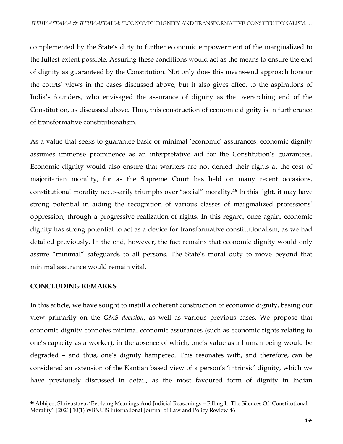complemented by the State's duty to further economic empowerment of the marginalized to the fullest extent possible. Assuring these conditions would act as the means to ensure the end of dignity as guaranteed by the Constitution. Not only does this means-end approach honour the courts' views in the cases discussed above, but it also gives effect to the aspirations of India's founders, who envisaged the assurance of dignity as the overarching end of the Constitution, as discussed above. Thus, this construction of economic dignity is in furtherance of transformative constitutionalism.

As a value that seeks to guarantee basic or minimal 'economic' assurances, economic dignity assumes immense prominence as an interpretative aid for the Constitution's guarantees. Economic dignity would also ensure that workers are not denied their rights at the cost of majoritarian morality, for as the Supreme Court has held on many recent occasions, constitutional morality necessarily triumphs over "social" morality.**<sup>46</sup>** In this light, it may have strong potential in aiding the recognition of various classes of marginalized professions' oppression, through a progressive realization of rights. In this regard, once again, economic dignity has strong potential to act as a device for transformative constitutionalism, as we had detailed previously. In the end, however, the fact remains that economic dignity would only assure "minimal" safeguards to all persons. The State's moral duty to move beyond that minimal assurance would remain vital.

#### **CONCLUDING REMARKS**

l

In this article, we have sought to instill a coherent construction of economic dignity, basing our view primarily on the *GMS decision*, as well as various previous cases. We propose that economic dignity connotes minimal economic assurances (such as economic rights relating to one's capacity as a worker), in the absence of which, one's value as a human being would be degraded – and thus, one's dignity hampered. This resonates with, and therefore, can be considered an extension of the Kantian based view of a person's 'intrinsic' dignity, which we have previously discussed in detail, as the most favoured form of dignity in Indian

**<sup>46</sup>** Abhijeet Shrivastava, 'Evolving Meanings And Judicial Reasonings – Filling In The Silences Of 'Constitutional Morality'' [2021] 10(1) WBNUJS International Journal of Law and Policy Review 46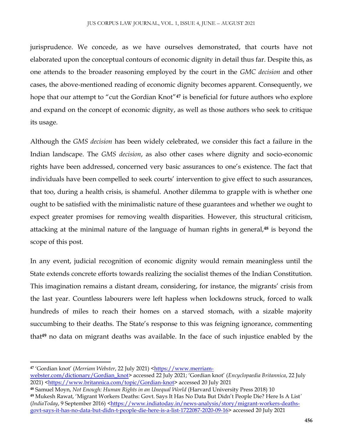jurisprudence. We concede, as we have ourselves demonstrated, that courts have not elaborated upon the conceptual contours of economic dignity in detail thus far. Despite this, as one attends to the broader reasoning employed by the court in the *GMC decision* and other cases, the above-mentioned reading of economic dignity becomes apparent. Consequently, we hope that our attempt to "cut the Gordian Knot"**<sup>47</sup>** is beneficial for future authors who explore and expand on the concept of economic dignity, as well as those authors who seek to critique its usage.

Although the *GMS decision* has been widely celebrated, we consider this fact a failure in the Indian landscape. The *GMS decision*, as also other cases where dignity and socio-economic rights have been addressed, concerned very basic assurances to one's existence. The fact that individuals have been compelled to seek courts' intervention to give effect to such assurances, that too, during a health crisis, is shameful. Another dilemma to grapple with is whether one ought to be satisfied with the minimalistic nature of these guarantees and whether we ought to expect greater promises for removing wealth disparities. However, this structural criticism, attacking at the minimal nature of the language of human rights in general,**<sup>48</sup>** is beyond the scope of this post.

In any event, judicial recognition of economic dignity would remain meaningless until the State extends concrete efforts towards realizing the socialist themes of the Indian Constitution. This imagination remains a distant dream, considering, for instance, the migrants' crisis from the last year. Countless labourers were left hapless when lockdowns struck, forced to walk hundreds of miles to reach their homes on a starved stomach, with a sizable majority succumbing to their deaths. The State's response to this was feigning ignorance, commenting that**<sup>49</sup>** no data on migrant deaths was available. In the face of such injustice enabled by the

**<sup>47</sup>** 'Gordian knot' (*Merriam Webster*, 22 July 2021) [<https://www.merriam-](https://www.merriam-webster.com/dictionary/Gordian_knot)

[webster.com/dictionary/Gordian\\_knot](https://www.merriam-webster.com/dictionary/Gordian_knot)> accessed 22 July 2021; 'Gordian knot' (*Encyclopaedia Britannica*, 22 July 2021) [<https://www.britannica.com/topic/Gordian-knot>](https://www.britannica.com/topic/Gordian-knot) accessed 20 July 2021

**<sup>48</sup>** Samuel Moyn, *Not Enough: Human Rights in an Unequal World* (Harvard University Press 2018) 10

**<sup>49</sup>** Mukesh Rawat, 'Migrant Workers Deaths: Govt. Says It Has No Data But Didn't People Die? Here Is A List*'* (*IndiaToday*, 9 September 2016) *<*[https://www.indiatoday.in/news-analysis/story/migrant-workers-deaths](https://www.indiatoday.in/news-analysis/story/migrant-workers-deaths-govt-says-it-has-no-data-but-didn-t-people-die-here-is-a-list-1722087-2020-09-16)[govt-says-it-has-no-data-but-didn-t-people-die-here-is-a-list-1722087-2020-09-16>](https://www.indiatoday.in/news-analysis/story/migrant-workers-deaths-govt-says-it-has-no-data-but-didn-t-people-die-here-is-a-list-1722087-2020-09-16) accessed 20 July 2021